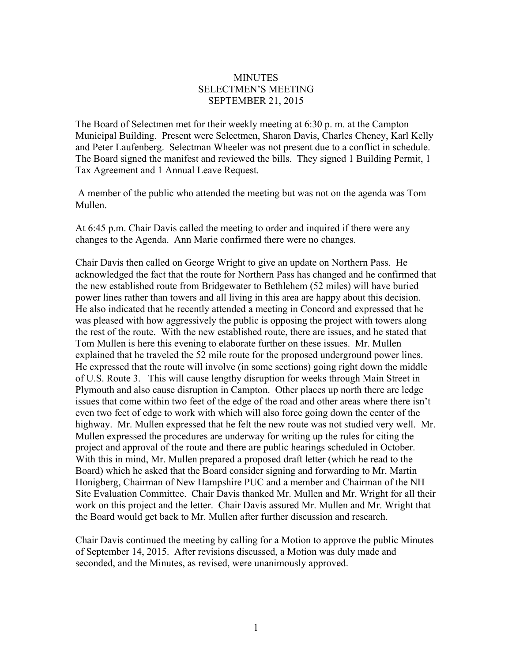## **MINUTES** SELECTMEN'S MEETING SEPTEMBER 21, 2015

The Board of Selectmen met for their weekly meeting at 6:30 p. m. at the Campton Municipal Building. Present were Selectmen, Sharon Davis, Charles Cheney, Karl Kelly and Peter Laufenberg. Selectman Wheeler was not present due to a conflict in schedule. The Board signed the manifest and reviewed the bills. They signed 1 Building Permit, 1 Tax Agreement and 1 Annual Leave Request.

A member of the public who attended the meeting but was not on the agenda was Tom Mullen.

At 6:45 p.m. Chair Davis called the meeting to order and inquired if there were any changes to the Agenda. Ann Marie confirmed there were no changes.

Chair Davis then called on George Wright to give an update on Northern Pass. He acknowledged the fact that the route for Northern Pass has changed and he confirmed that the new established route from Bridgewater to Bethlehem (52 miles) will have buried power lines rather than towers and all living in this area are happy about this decision. He also indicated that he recently attended a meeting in Concord and expressed that he was pleased with how aggressively the public is opposing the project with towers along the rest of the route. With the new established route, there are issues, and he stated that Tom Mullen is here this evening to elaborate further on these issues. Mr. Mullen explained that he traveled the 52 mile route for the proposed underground power lines. He expressed that the route will involve (in some sections) going right down the middle of U.S. Route 3. This will cause lengthy disruption for weeks through Main Street in Plymouth and also cause disruption in Campton. Other places up north there are ledge issues that come within two feet of the edge of the road and other areas where there isn't even two feet of edge to work with which will also force going down the center of the highway. Mr. Mullen expressed that he felt the new route was not studied very well. Mr. Mullen expressed the procedures are underway for writing up the rules for citing the project and approval of the route and there are public hearings scheduled in October. With this in mind, Mr. Mullen prepared a proposed draft letter (which he read to the Board) which he asked that the Board consider signing and forwarding to Mr. Martin Honigberg, Chairman of New Hampshire PUC and a member and Chairman of the NH Site Evaluation Committee. Chair Davis thanked Mr. Mullen and Mr. Wright for all their work on this project and the letter. Chair Davis assured Mr. Mullen and Mr. Wright that the Board would get back to Mr. Mullen after further discussion and research.

Chair Davis continued the meeting by calling for a Motion to approve the public Minutes of September 14, 2015. After revisions discussed, a Motion was duly made and seconded, and the Minutes, as revised, were unanimously approved.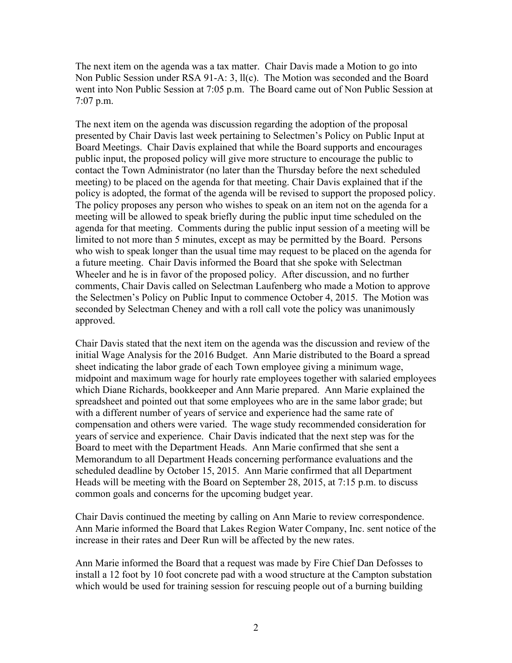The next item on the agenda was a tax matter. Chair Davis made a Motion to go into Non Public Session under RSA 91-A: 3, ll(c). The Motion was seconded and the Board went into Non Public Session at 7:05 p.m. The Board came out of Non Public Session at 7:07 p.m.

The next item on the agenda was discussion regarding the adoption of the proposal presented by Chair Davis last week pertaining to Selectmen's Policy on Public Input at Board Meetings. Chair Davis explained that while the Board supports and encourages public input, the proposed policy will give more structure to encourage the public to contact the Town Administrator (no later than the Thursday before the next scheduled meeting) to be placed on the agenda for that meeting. Chair Davis explained that if the policy is adopted, the format of the agenda will be revised to support the proposed policy. The policy proposes any person who wishes to speak on an item not on the agenda for a meeting will be allowed to speak briefly during the public input time scheduled on the agenda for that meeting. Comments during the public input session of a meeting will be limited to not more than 5 minutes, except as may be permitted by the Board. Persons who wish to speak longer than the usual time may request to be placed on the agenda for a future meeting. Chair Davis informed the Board that she spoke with Selectman Wheeler and he is in favor of the proposed policy. After discussion, and no further comments, Chair Davis called on Selectman Laufenberg who made a Motion to approve the Selectmen's Policy on Public Input to commence October 4, 2015. The Motion was seconded by Selectman Cheney and with a roll call vote the policy was unanimously approved.

Chair Davis stated that the next item on the agenda was the discussion and review of the initial Wage Analysis for the 2016 Budget. Ann Marie distributed to the Board a spread sheet indicating the labor grade of each Town employee giving a minimum wage, midpoint and maximum wage for hourly rate employees together with salaried employees which Diane Richards, bookkeeper and Ann Marie prepared. Ann Marie explained the spreadsheet and pointed out that some employees who are in the same labor grade; but with a different number of years of service and experience had the same rate of compensation and others were varied. The wage study recommended consideration for years of service and experience. Chair Davis indicated that the next step was for the Board to meet with the Department Heads. Ann Marie confirmed that she sent a Memorandum to all Department Heads concerning performance evaluations and the scheduled deadline by October 15, 2015. Ann Marie confirmed that all Department Heads will be meeting with the Board on September 28, 2015, at 7:15 p.m. to discuss common goals and concerns for the upcoming budget year.

Chair Davis continued the meeting by calling on Ann Marie to review correspondence. Ann Marie informed the Board that Lakes Region Water Company, Inc. sent notice of the increase in their rates and Deer Run will be affected by the new rates.

Ann Marie informed the Board that a request was made by Fire Chief Dan Defosses to install a 12 foot by 10 foot concrete pad with a wood structure at the Campton substation which would be used for training session for rescuing people out of a burning building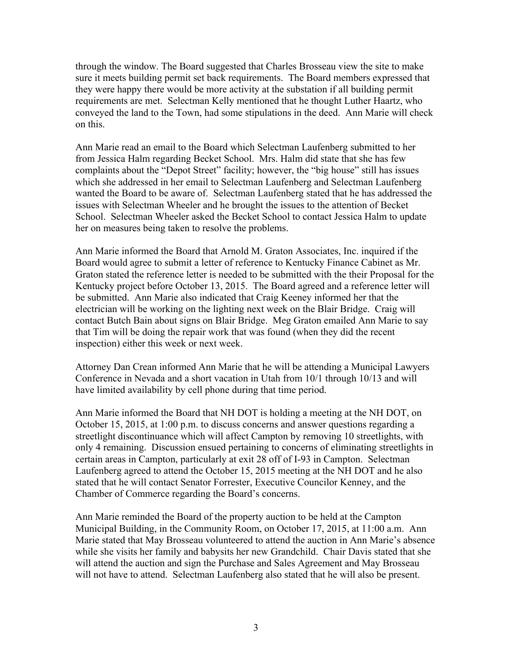through the window. The Board suggested that Charles Brosseau view the site to make sure it meets building permit set back requirements. The Board members expressed that they were happy there would be more activity at the substation if all building permit requirements are met. Selectman Kelly mentioned that he thought Luther Haartz, who conveyed the land to the Town, had some stipulations in the deed. Ann Marie will check on this.

Ann Marie read an email to the Board which Selectman Laufenberg submitted to her from Jessica Halm regarding Becket School. Mrs. Halm did state that she has few complaints about the "Depot Street" facility; however, the "big house" still has issues which she addressed in her email to Selectman Laufenberg and Selectman Laufenberg wanted the Board to be aware of. Selectman Laufenberg stated that he has addressed the issues with Selectman Wheeler and he brought the issues to the attention of Becket School. Selectman Wheeler asked the Becket School to contact Jessica Halm to update her on measures being taken to resolve the problems.

Ann Marie informed the Board that Arnold M. Graton Associates, Inc. inquired if the Board would agree to submit a letter of reference to Kentucky Finance Cabinet as Mr. Graton stated the reference letter is needed to be submitted with the their Proposal for the Kentucky project before October 13, 2015. The Board agreed and a reference letter will be submitted. Ann Marie also indicated that Craig Keeney informed her that the electrician will be working on the lighting next week on the Blair Bridge. Craig will contact Butch Bain about signs on Blair Bridge. Meg Graton emailed Ann Marie to say that Tim will be doing the repair work that was found (when they did the recent inspection) either this week or next week.

Attorney Dan Crean informed Ann Marie that he will be attending a Municipal Lawyers Conference in Nevada and a short vacation in Utah from 10/1 through 10/13 and will have limited availability by cell phone during that time period.

Ann Marie informed the Board that NH DOT is holding a meeting at the NH DOT, on October 15, 2015, at 1:00 p.m. to discuss concerns and answer questions regarding a streetlight discontinuance which will affect Campton by removing 10 streetlights, with only 4 remaining. Discussion ensued pertaining to concerns of eliminating streetlights in certain areas in Campton, particularly at exit 28 off of I-93 in Campton. Selectman Laufenberg agreed to attend the October 15, 2015 meeting at the NH DOT and he also stated that he will contact Senator Forrester, Executive Councilor Kenney, and the Chamber of Commerce regarding the Board's concerns.

Ann Marie reminded the Board of the property auction to be held at the Campton Municipal Building, in the Community Room, on October 17, 2015, at 11:00 a.m. Ann Marie stated that May Brosseau volunteered to attend the auction in Ann Marie's absence while she visits her family and babysits her new Grandchild. Chair Davis stated that she will attend the auction and sign the Purchase and Sales Agreement and May Brosseau will not have to attend. Selectman Laufenberg also stated that he will also be present.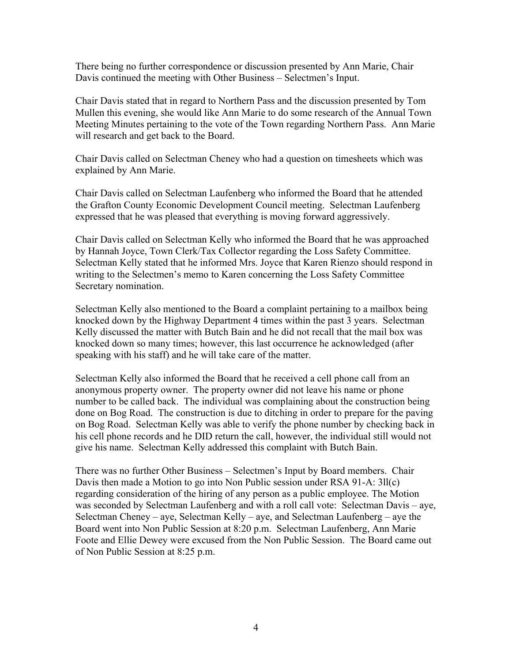There being no further correspondence or discussion presented by Ann Marie, Chair Davis continued the meeting with Other Business – Selectmen's Input.

Chair Davis stated that in regard to Northern Pass and the discussion presented by Tom Mullen this evening, she would like Ann Marie to do some research of the Annual Town Meeting Minutes pertaining to the vote of the Town regarding Northern Pass. Ann Marie will research and get back to the Board.

Chair Davis called on Selectman Cheney who had a question on timesheets which was explained by Ann Marie.

Chair Davis called on Selectman Laufenberg who informed the Board that he attended the Grafton County Economic Development Council meeting. Selectman Laufenberg expressed that he was pleased that everything is moving forward aggressively.

Chair Davis called on Selectman Kelly who informed the Board that he was approached by Hannah Joyce, Town Clerk/Tax Collector regarding the Loss Safety Committee. Selectman Kelly stated that he informed Mrs. Joyce that Karen Rienzo should respond in writing to the Selectmen's memo to Karen concerning the Loss Safety Committee Secretary nomination.

Selectman Kelly also mentioned to the Board a complaint pertaining to a mailbox being knocked down by the Highway Department 4 times within the past 3 years. Selectman Kelly discussed the matter with Butch Bain and he did not recall that the mail box was knocked down so many times; however, this last occurrence he acknowledged (after speaking with his staff) and he will take care of the matter.

Selectman Kelly also informed the Board that he received a cell phone call from an anonymous property owner. The property owner did not leave his name or phone number to be called back. The individual was complaining about the construction being done on Bog Road. The construction is due to ditching in order to prepare for the paving on Bog Road. Selectman Kelly was able to verify the phone number by checking back in his cell phone records and he DID return the call, however, the individual still would not give his name. Selectman Kelly addressed this complaint with Butch Bain.

There was no further Other Business – Selectmen's Input by Board members. Chair Davis then made a Motion to go into Non Public session under RSA 91-A: 3ll(c) regarding consideration of the hiring of any person as a public employee. The Motion was seconded by Selectman Laufenberg and with a roll call vote: Selectman Davis – aye, Selectman Cheney – aye, Selectman Kelly – aye, and Selectman Laufenberg – aye the Board went into Non Public Session at 8:20 p.m. Selectman Laufenberg, Ann Marie Foote and Ellie Dewey were excused from the Non Public Session. The Board came out of Non Public Session at 8:25 p.m.